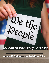## **Can Voting Ever Really Be "Fair"? Can Voting Ever Really Be "Fair"?**

De the

**by Judith Covington** 

**Tiling With Pentagons** 

**Exploring Newly Discovered Math**

**by Lynne M. Pachnowski and Linda Marie Saliga by Lynne M. Pachnowski and Linda Marie Saliga**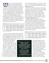hat is "fair" when voting? Our Math<br>Teachers' Circle explored voting as<br>a topic before the 2016 Presidential<br>Election. As facilitators, our mathem Teachers' Circle explored voting as a topic before the 2016 Presidential Election. As facilitators, our mathematical objectives were for the participants to apply and analyze several established methods for determining the "voice" of the majority. We wanted them to discover these methods through an inquiry-based experience, by engaging them early in a deep problem and waiting to assign definitions and terms until afterward.

To start, we formed small groups and asked participants to consider the following scenario: One hundred people are asked to rank their preference for the candidate for presidency. The five candidates listed in the table below were the five candidates on Ohio ballots in 2016. The results are as follows. Using all the data given, determine the winner.

| <b>TOTAL</b>    | 37           | 27      | 22      | 11      |         |
|-----------------|--------------|---------|---------|---------|---------|
| 1 <sup>st</sup> | Trump        | Clinton | Duncan  | Stein   | Johnson |
| 2 <sup>nd</sup> | <b>Stein</b> | Stein   | Clinton | Johnson | Clinton |
| 3 <sup>rd</sup> | Clinton      | Duncan  | Stein   | Duncan  | Duncan  |
| 4 <sup>th</sup> | Duncan       | Johnson | Trump   | Clinton | Stein   |
| 5 <sup>th</sup> | Johnson      | Trump   | Johnson | Trump   | Trump   |

*Table 1: The results of our election.*

(Yes, it's not realistic to believe that the 100 people created their list in one of only five ways. But for the sake of discussion, we'll use this data to explore.) Note that using **plurality** (the candidate with the most first place votes wins), Trump is the winner. However, some

participants objected that this was not the decision of the majority, and it doesn't use all the data.

We asked participants to use all the data provided to determine the winner of the election. Most began by assigning points to each candidate according to where they were ranked on the ballot. That is, one could give 5 points for the candidate in first place, 4 for second place, 3 for third, and so on. Then, the points are multiplied by the number of voters who voted at that level. So, in the first column, 37 voters ranked Trump first, so

**THESE ACTIVITIES SPARK A GREAT CONVERSATION AMONG PARTICIPANTS ABOUT WHAT IS CONSIDERED 'FAIR VOTING.'**   $cc$ 

**IN DOING SO, THEY JOIN AN ONGOING DISCUSSION THAT HAS GONE ON HUNDREDS OF YEARS.** "

Trump would get 185 points (37 x 5), then 27 points (27 x 1), etc. The candidate with the highest score wins. In this case, Stein wins. This method is known as the **Borda Count** method.

We then asked, "Is there another way to determine a winner?" Some groups argued that they could consider reassigning all votes to the top two vote-getters, Trump and Clinton, according to everyone's preference regarding these two candidates. In other words, in the first column, since 37 voters ranked Trump over Clinton, all those votes would go to Trump. In the second column, all 27 votes go to Clinton, etc. Using this method, Clinton wins. This method is known as the **Plurality with Runoff** method.

Further prodded, some groups eliminated the candidate with the fewest first-place votes from all the ballots and then recalculated the new plurality totals. For instance, in the table at left, Johnson received only 3 first-place votes. If we eliminate Johnson from the table, essentially conducting a run-off, looking at the first column, those 37 voters would vote the same. However, in the second column, we assume that Trump would now be ranked 4th, and so on. The new table would look as follows:

| <b>TOTAL</b>    | 37      | 27      | 22      |         |         |
|-----------------|---------|---------|---------|---------|---------|
| 1 <sup>st</sup> | Trump   | Clinton | Duncan  | Stein   | Clinton |
| 2 <sup>nd</sup> | Stein   | Stein   | Clinton | Duncan  | Duncan  |
| 3 <sup>rd</sup> | Clinton | Duncan  | Stein   | Clinton | Stein   |
| $4^{\text{th}}$ | Duncan  | Trump   | Trump   | Trump   | Trump   |

*Table 2: Eliminating the candidate with the fewest first-place votes.*

Continuing this process, we see that the person with the fewest first-place votes is now Stein, and so we create a new table eliminating her. We repeat that process two more times until we get a winner, in this case Duncan. This method of repeatedly eliminating the candidate with the least first-place votes is the **Hare Rule**.

At this point, we discussed and tried out several other voting methods to see how affected the results. For example, another method, similar to the Hare Rule,